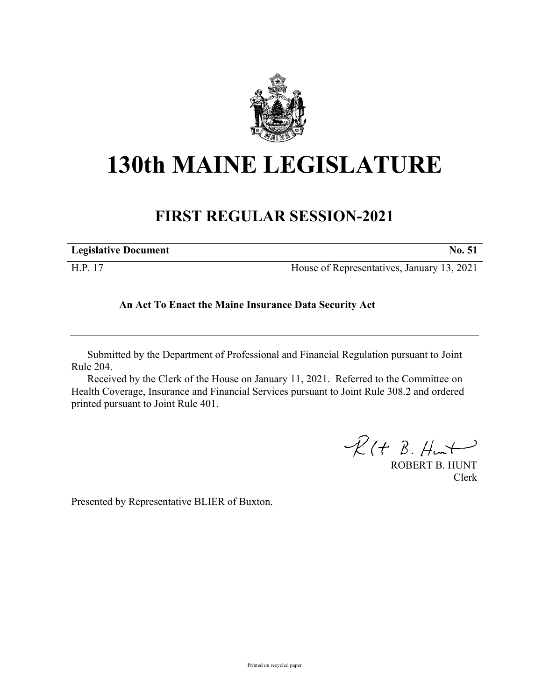

## **130th MAINE LEGISLATURE**

## **FIRST REGULAR SESSION-2021**

| <b>Legislative Document</b> | <b>No. 51</b>                              |
|-----------------------------|--------------------------------------------|
| H.P. 17                     | House of Representatives, January 13, 2021 |

## **An Act To Enact the Maine Insurance Data Security Act**

Submitted by the Department of Professional and Financial Regulation pursuant to Joint Rule 204.

Received by the Clerk of the House on January 11, 2021. Referred to the Committee on Health Coverage, Insurance and Financial Services pursuant to Joint Rule 308.2 and ordered printed pursuant to Joint Rule 401.

 $R(H B. H<sub>un</sub>)$ 

ROBERT B. HUNT Clerk

Presented by Representative BLIER of Buxton.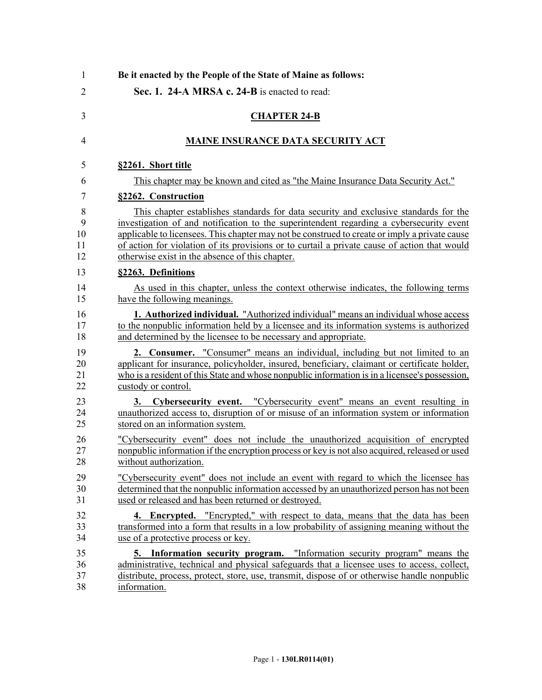| 1                    | Be it enacted by the People of the State of Maine as follows:                                                                                                                                                                                                                              |
|----------------------|--------------------------------------------------------------------------------------------------------------------------------------------------------------------------------------------------------------------------------------------------------------------------------------------|
| $\overline{2}$       | Sec. 1. 24-A MRSA c. 24-B is enacted to read:                                                                                                                                                                                                                                              |
| 3                    | <b>CHAPTER 24-B</b>                                                                                                                                                                                                                                                                        |
| 4                    | <b>MAINE INSURANCE DATA SECURITY ACT</b>                                                                                                                                                                                                                                                   |
| 5                    | §2261. Short title                                                                                                                                                                                                                                                                         |
| 6                    | This chapter may be known and cited as "the Maine Insurance Data Security Act."                                                                                                                                                                                                            |
| 7                    | §2262. Construction                                                                                                                                                                                                                                                                        |
| 8                    | This chapter establishes standards for data security and exclusive standards for the                                                                                                                                                                                                       |
| 9                    | investigation of and notification to the superintendent regarding a cybersecurity event                                                                                                                                                                                                    |
| 10                   | applicable to licensees. This chapter may not be construed to create or imply a private cause                                                                                                                                                                                              |
| 11                   | of action for violation of its provisions or to curtail a private cause of action that would                                                                                                                                                                                               |
| 12                   | otherwise exist in the absence of this chapter.                                                                                                                                                                                                                                            |
| 13                   | §2263. Definitions                                                                                                                                                                                                                                                                         |
| 14                   | As used in this chapter, unless the context otherwise indicates, the following terms                                                                                                                                                                                                       |
| 15                   | have the following meanings.                                                                                                                                                                                                                                                               |
| 16                   | <b>1. Authorized individual.</b> "Authorized individual" means an individual whose access                                                                                                                                                                                                  |
| 17                   | to the nonpublic information held by a licensee and its information systems is authorized                                                                                                                                                                                                  |
| 18                   | and determined by the licensee to be necessary and appropriate.                                                                                                                                                                                                                            |
| 19                   | <b>2. Consumer.</b> "Consumer" means an individual, including but not limited to an                                                                                                                                                                                                        |
| 20                   | applicant for insurance, policyholder, insured, beneficiary, claimant or certificate holder,                                                                                                                                                                                               |
| 21                   | who is a resident of this State and whose nonpublic information is in a licensee's possession,                                                                                                                                                                                             |
| 22                   | custody or control.                                                                                                                                                                                                                                                                        |
| 23                   | 3. Cybersecurity event. "Cybersecurity event" means an event resulting in                                                                                                                                                                                                                  |
| 24                   | unauthorized access to, disruption of or misuse of an information system or information                                                                                                                                                                                                    |
| 25                   | stored on an information system.                                                                                                                                                                                                                                                           |
| 26                   | "Cybersecurity event" does not include the unauthorized acquisition of encrypted                                                                                                                                                                                                           |
| 27                   | nonpublic information if the encryption process or key is not also acquired, released or used                                                                                                                                                                                              |
| 28                   | without authorization.                                                                                                                                                                                                                                                                     |
| 29                   | "Cybersecurity event" does not include an event with regard to which the licensee has                                                                                                                                                                                                      |
| 30                   | determined that the nonpublic information accessed by an unauthorized person has not been                                                                                                                                                                                                  |
| 31                   | used or released and has been returned or destroyed.                                                                                                                                                                                                                                       |
| 32                   | 4. Encrypted. "Encrypted," with respect to data, means that the data has been                                                                                                                                                                                                              |
| 33                   | transformed into a form that results in a low probability of assigning meaning without the                                                                                                                                                                                                 |
| 34                   | use of a protective process or key.                                                                                                                                                                                                                                                        |
| 35<br>36<br>37<br>38 | Information security program. "Information security program" means the<br>5.<br>administrative, technical and physical safeguards that a licensee uses to access, collect,<br>distribute, process, protect, store, use, transmit, dispose of or otherwise handle nonpublic<br>information. |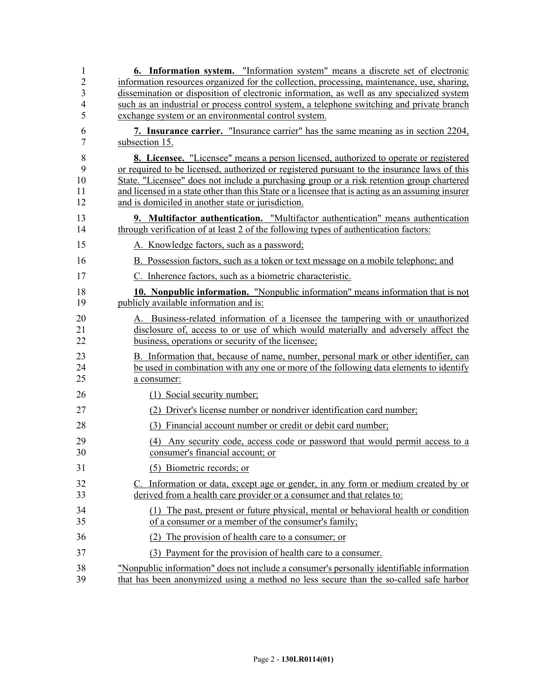| 1                                | <b>6.</b> Information system. "Information system" means a discrete set of electronic                                                                                                                                       |
|----------------------------------|-----------------------------------------------------------------------------------------------------------------------------------------------------------------------------------------------------------------------------|
| $\overline{c}$                   | information resources organized for the collection, processing, maintenance, use, sharing,                                                                                                                                  |
| $\overline{3}$<br>$\overline{4}$ | dissemination or disposition of electronic information, as well as any specialized system<br>such as an industrial or process control system, a telephone switching and private branch                                      |
| 5                                | exchange system or an environmental control system.                                                                                                                                                                         |
| 6<br>$\tau$                      | 7. Insurance carrier. "Insurance carrier" has the same meaning as in section 2204,<br>subsection 15.                                                                                                                        |
|                                  | 8. Licensee. "Licensee" means a person licensed, authorized to operate or registered                                                                                                                                        |
| $\,8\,$<br>9                     | or required to be licensed, authorized or registered pursuant to the insurance laws of this                                                                                                                                 |
| 10                               | State. "Licensee" does not include a purchasing group or a risk retention group chartered                                                                                                                                   |
| 11                               | and licensed in a state other than this State or a licensee that is acting as an assuming insurer                                                                                                                           |
| 12                               | and is domiciled in another state or jurisdiction.                                                                                                                                                                          |
| 13<br>14                         | 9. Multifactor authentication. "Multifactor authentication" means authentication<br>through verification of at least 2 of the following types of authentication factors:                                                    |
| 15                               | A. Knowledge factors, such as a password;                                                                                                                                                                                   |
| 16                               | B. Possession factors, such as a token or text message on a mobile telephone; and                                                                                                                                           |
| 17                               | C. Inherence factors, such as a biometric characteristic.                                                                                                                                                                   |
| 18<br>19                         | <b>10. Nonpublic information.</b> "Nonpublic information" means information that is not<br>publicly available information and is:                                                                                           |
| 20<br>21<br>22                   | A. Business-related information of a licensee the tampering with or unauthorized<br>disclosure of, access to or use of which would materially and adversely affect the<br>business, operations or security of the licensee; |
| 23<br>24<br>25                   | B. Information that, because of name, number, personal mark or other identifier, can<br>be used in combination with any one or more of the following data elements to identify<br>a consumer:                               |
| 26                               | (1) Social security number;                                                                                                                                                                                                 |
| 27                               | (2) Driver's license number or nondriver identification card number;                                                                                                                                                        |
| 28                               | (3) Financial account number or credit or debit card number;                                                                                                                                                                |
| 29                               | (4) Any security code, access code or password that would permit access to a                                                                                                                                                |
| 30                               | consumer's financial account; or                                                                                                                                                                                            |
| 31                               | (5) Biometric records; or                                                                                                                                                                                                   |
| 32<br>33                         | C. Information or data, except age or gender, in any form or medium created by or<br>derived from a health care provider or a consumer and that relates to:                                                                 |
| 34<br>35                         | (1) The past, present or future physical, mental or behavioral health or condition<br>of a consumer or a member of the consumer's family;                                                                                   |
| 36                               | The provision of health care to a consumer; or<br>(2)                                                                                                                                                                       |
| 37                               | (3) Payment for the provision of health care to a consumer.                                                                                                                                                                 |
| 38                               | "Nonpublic information" does not include a consumer's personally identifiable information                                                                                                                                   |
| 39                               | that has been anonymized using a method no less secure than the so-called safe harbor                                                                                                                                       |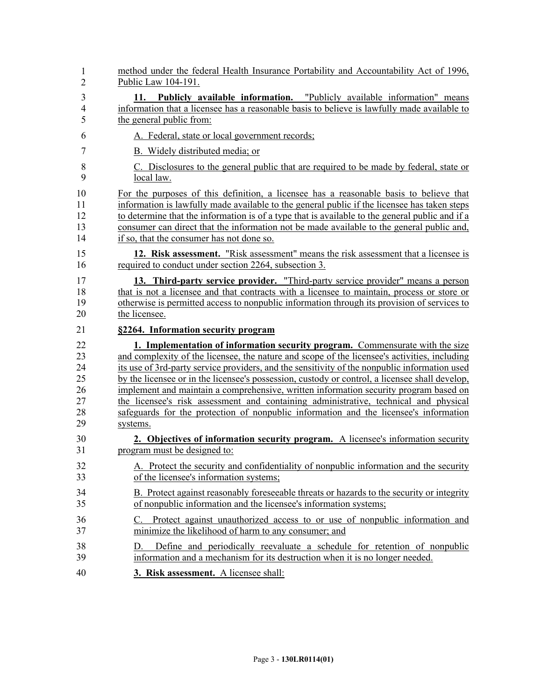| 1                          | method under the federal Health Insurance Portability and Accountability Act of 1996,                                                                                                                                                                                                                                                                                            |
|----------------------------|----------------------------------------------------------------------------------------------------------------------------------------------------------------------------------------------------------------------------------------------------------------------------------------------------------------------------------------------------------------------------------|
| $\overline{2}$             | Public Law 104-191.                                                                                                                                                                                                                                                                                                                                                              |
| 3                          | 11. Publicly available information. "Publicly available information" means                                                                                                                                                                                                                                                                                                       |
| 4                          | information that a licensee has a reasonable basis to believe is lawfully made available to                                                                                                                                                                                                                                                                                      |
| 5                          | the general public from:                                                                                                                                                                                                                                                                                                                                                         |
| 6                          | A. Federal, state or local government records;                                                                                                                                                                                                                                                                                                                                   |
| 7                          | B. Widely distributed media; or                                                                                                                                                                                                                                                                                                                                                  |
| 8                          | C. Disclosures to the general public that are required to be made by federal, state or                                                                                                                                                                                                                                                                                           |
| 9                          | local law.                                                                                                                                                                                                                                                                                                                                                                       |
| 10                         | For the purposes of this definition, a licensee has a reasonable basis to believe that                                                                                                                                                                                                                                                                                           |
| 11                         | information is lawfully made available to the general public if the licensee has taken steps                                                                                                                                                                                                                                                                                     |
| 12                         | to determine that the information is of a type that is available to the general public and if a                                                                                                                                                                                                                                                                                  |
| 13                         | consumer can direct that the information not be made available to the general public and,                                                                                                                                                                                                                                                                                        |
| 14                         | if so, that the consumer has not done so.                                                                                                                                                                                                                                                                                                                                        |
| 15                         | 12. Risk assessment. "Risk assessment" means the risk assessment that a licensee is                                                                                                                                                                                                                                                                                              |
| 16                         | required to conduct under section 2264, subsection 3.                                                                                                                                                                                                                                                                                                                            |
| 17                         | 13. Third-party service provider. "Third-party service provider" means a person                                                                                                                                                                                                                                                                                                  |
| 18                         | that is not a licensee and that contracts with a licensee to maintain, process or store or                                                                                                                                                                                                                                                                                       |
| 19                         | otherwise is permitted access to nonpublic information through its provision of services to                                                                                                                                                                                                                                                                                      |
| 20                         | the licensee.                                                                                                                                                                                                                                                                                                                                                                    |
| 21                         | §2264. Information security program                                                                                                                                                                                                                                                                                                                                              |
| 22<br>23<br>24<br>25<br>26 | 1. Implementation of information security program. Commensurate with the size<br>and complexity of the licensee, the nature and scope of the licensee's activities, including<br>its use of 3rd-party service providers, and the sensitivity of the nonpublic information used<br>by the licensee or in the licensee's possession, custody or control, a licensee shall develop, |
| 27<br>28<br>29             | implement and maintain a comprehensive, written information security program based on<br>the licensee's risk assessment and containing administrative, technical and physical<br>safeguards for the protection of nonpublic information and the licensee's information<br>systems.                                                                                               |
| 30                         | 2. Objectives of information security program. A licensee's information security                                                                                                                                                                                                                                                                                                 |
| 31                         | program must be designed to:                                                                                                                                                                                                                                                                                                                                                     |
| 32                         | A. Protect the security and confidentiality of nonpublic information and the security                                                                                                                                                                                                                                                                                            |
| 33                         | of the licensee's information systems;                                                                                                                                                                                                                                                                                                                                           |
| 34                         | B. Protect against reasonably foreseeable threats or hazards to the security or integrity                                                                                                                                                                                                                                                                                        |
| 35                         | of nonpublic information and the licensee's information systems;                                                                                                                                                                                                                                                                                                                 |
| 36<br>37                   | Protect against unauthorized access to or use of nonpublic information and<br>C.<br>minimize the likelihood of harm to any consumer; and                                                                                                                                                                                                                                         |
| 38<br>39                   | Define and periodically reevaluate a schedule for retention of nonpublic<br>Ð<br>information and a mechanism for its destruction when it is no longer needed.                                                                                                                                                                                                                    |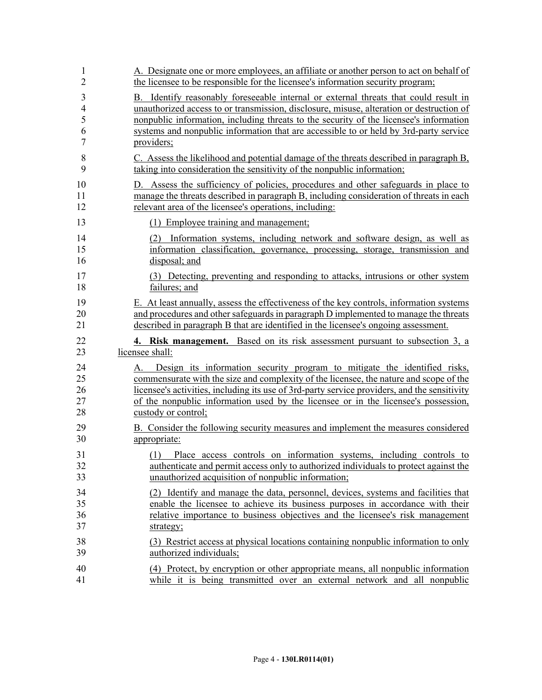| 1                          | A. Designate one or more employees, an affiliate or another person to act on behalf of                                                                                                                                                                                                                                                                                                 |
|----------------------------|----------------------------------------------------------------------------------------------------------------------------------------------------------------------------------------------------------------------------------------------------------------------------------------------------------------------------------------------------------------------------------------|
| $\overline{2}$             | the licensee to be responsible for the licensee's information security program;                                                                                                                                                                                                                                                                                                        |
| 3                          | B. Identify reasonably foreseeable internal or external threats that could result in                                                                                                                                                                                                                                                                                                   |
| $\overline{4}$             | unauthorized access to or transmission, disclosure, misuse, alteration or destruction of                                                                                                                                                                                                                                                                                               |
| 5                          | nonpublic information, including threats to the security of the licensee's information                                                                                                                                                                                                                                                                                                 |
| 6                          | systems and nonpublic information that are accessible to or held by 3rd-party service                                                                                                                                                                                                                                                                                                  |
| 7                          | providers;                                                                                                                                                                                                                                                                                                                                                                             |
| 8                          | C. Assess the likelihood and potential damage of the threats described in paragraph B,                                                                                                                                                                                                                                                                                                 |
| 9                          | taking into consideration the sensitivity of the nonpublic information;                                                                                                                                                                                                                                                                                                                |
| 10                         | D. Assess the sufficiency of policies, procedures and other safeguards in place to                                                                                                                                                                                                                                                                                                     |
| 11                         | manage the threats described in paragraph B, including consideration of threats in each                                                                                                                                                                                                                                                                                                |
| 12                         | relevant area of the licensee's operations, including:                                                                                                                                                                                                                                                                                                                                 |
| 13                         | (1) Employee training and management;                                                                                                                                                                                                                                                                                                                                                  |
| 14                         | (2) Information systems, including network and software design, as well as                                                                                                                                                                                                                                                                                                             |
| 15                         | information classification, governance, processing, storage, transmission and                                                                                                                                                                                                                                                                                                          |
| 16                         | disposal; and                                                                                                                                                                                                                                                                                                                                                                          |
| 17                         | (3) Detecting, preventing and responding to attacks, intrusions or other system                                                                                                                                                                                                                                                                                                        |
| 18                         | failures; and                                                                                                                                                                                                                                                                                                                                                                          |
| 19                         | E. At least annually, assess the effectiveness of the key controls, information systems                                                                                                                                                                                                                                                                                                |
| 20                         | and procedures and other safeguards in paragraph D implemented to manage the threats                                                                                                                                                                                                                                                                                                   |
| 21                         | described in paragraph B that are identified in the licensee's ongoing assessment.                                                                                                                                                                                                                                                                                                     |
|                            |                                                                                                                                                                                                                                                                                                                                                                                        |
| 22                         | 4. Risk management. Based on its risk assessment pursuant to subsection 3, a                                                                                                                                                                                                                                                                                                           |
| 23                         | licensee shall:                                                                                                                                                                                                                                                                                                                                                                        |
| 24<br>25<br>26<br>27<br>28 | Design its information security program to mitigate the identified risks,<br>А.<br>commensurate with the size and complexity of the licensee, the nature and scope of the<br>licensee's activities, including its use of 3rd-party service providers, and the sensitivity<br>of the nonpublic information used by the licensee or in the licensee's possession,<br>custody or control; |
| 29                         | B. Consider the following security measures and implement the measures considered                                                                                                                                                                                                                                                                                                      |
| 30                         | appropriate:                                                                                                                                                                                                                                                                                                                                                                           |
| 31<br>32<br>33             | Place access controls on information systems, including controls to<br>(1)<br>authenticate and permit access only to authorized individuals to protect against the<br>unauthorized acquisition of nonpublic information;                                                                                                                                                               |
| 34                         | (2) Identify and manage the data, personnel, devices, systems and facilities that                                                                                                                                                                                                                                                                                                      |
| 35                         | enable the licensee to achieve its business purposes in accordance with their                                                                                                                                                                                                                                                                                                          |
| 36                         | relative importance to business objectives and the licensee's risk management                                                                                                                                                                                                                                                                                                          |
| 37                         | strategy;                                                                                                                                                                                                                                                                                                                                                                              |
| 38                         | (3) Restrict access at physical locations containing nonpublic information to only                                                                                                                                                                                                                                                                                                     |
| 39                         | authorized individuals;                                                                                                                                                                                                                                                                                                                                                                |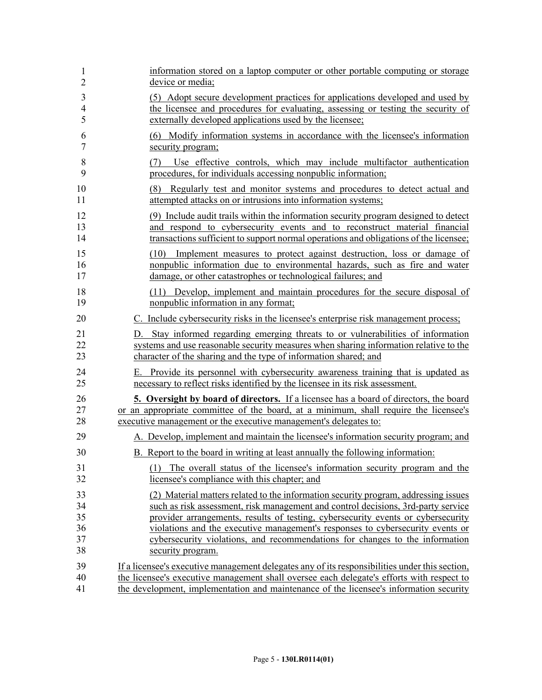| 1              | information stored on a laptop computer or other portable computing or storage                                                                                                                                             |
|----------------|----------------------------------------------------------------------------------------------------------------------------------------------------------------------------------------------------------------------------|
| $\overline{2}$ | device or media;                                                                                                                                                                                                           |
| 3              | (5) Adopt secure development practices for applications developed and used by                                                                                                                                              |
| $\overline{4}$ | the licensee and procedures for evaluating, assessing or testing the security of                                                                                                                                           |
| 5              | externally developed applications used by the licensee;                                                                                                                                                                    |
| 6              | (6) Modify information systems in accordance with the licensee's information                                                                                                                                               |
| $\overline{7}$ | security program;                                                                                                                                                                                                          |
| 8<br>9         | Use effective controls, which may include multifactor authentication<br>(7)<br>procedures, for individuals accessing nonpublic information;                                                                                |
| 10<br>11       | Regularly test and monitor systems and procedures to detect actual and<br>(8)<br>attempted attacks on or intrusions into information systems;                                                                              |
| 12             | (9) Include audit trails within the information security program designed to detect                                                                                                                                        |
| 13             | and respond to cybersecurity events and to reconstruct material financial                                                                                                                                                  |
| 14             | transactions sufficient to support normal operations and obligations of the licensee;                                                                                                                                      |
| 15<br>16<br>17 | Implement measures to protect against destruction, loss or damage of<br>(10)<br>nonpublic information due to environmental hazards, such as fire and water<br>damage, or other catastrophes or technological failures; and |
| 18             | (11) Develop, implement and maintain procedures for the secure disposal of                                                                                                                                                 |
| 19             | nonpublic information in any format;                                                                                                                                                                                       |
| 20             | C. Include cybersecurity risks in the licensee's enterprise risk management process;                                                                                                                                       |
| 21             | D. Stay informed regarding emerging threats to or vulnerabilities of information                                                                                                                                           |
| 22             | systems and use reasonable security measures when sharing information relative to the                                                                                                                                      |
| 23             | character of the sharing and the type of information shared; and                                                                                                                                                           |
| 24             | E. Provide its personnel with cybersecurity awareness training that is updated as                                                                                                                                          |
| 25             | necessary to reflect risks identified by the licensee in its risk assessment.                                                                                                                                              |
| 26             | <b>5. Oversight by board of directors.</b> If a licensee has a board of directors, the board                                                                                                                               |
| 27             | or an appropriate committee of the board, at a minimum, shall require the licensee's                                                                                                                                       |
| 28             | executive management or the executive management's delegates to:                                                                                                                                                           |
| 29             | A. Develop, implement and maintain the licensee's information security program; and                                                                                                                                        |
| 30             | B. Report to the board in writing at least annually the following information:                                                                                                                                             |
| 31             | (1) The overall status of the licensee's information security program and the                                                                                                                                              |
| 32             | licensee's compliance with this chapter; and                                                                                                                                                                               |
| 33             | (2) Material matters related to the information security program, addressing issues                                                                                                                                        |
| 34             | such as risk assessment, risk management and control decisions, 3rd-party service                                                                                                                                          |
| 35             | provider arrangements, results of testing, cybersecurity events or cybersecurity                                                                                                                                           |
| 36             | violations and the executive management's responses to cybersecurity events or                                                                                                                                             |
| 37             | cybersecurity violations, and recommendations for changes to the information                                                                                                                                               |
| 38             | security program.                                                                                                                                                                                                          |
| 39             | If a licensee's executive management delegates any of its responsibilities under this section,                                                                                                                             |
| 40             | the licensee's executive management shall oversee each delegate's efforts with respect to                                                                                                                                  |
| 41             | the development, implementation and maintenance of the licensee's information security                                                                                                                                     |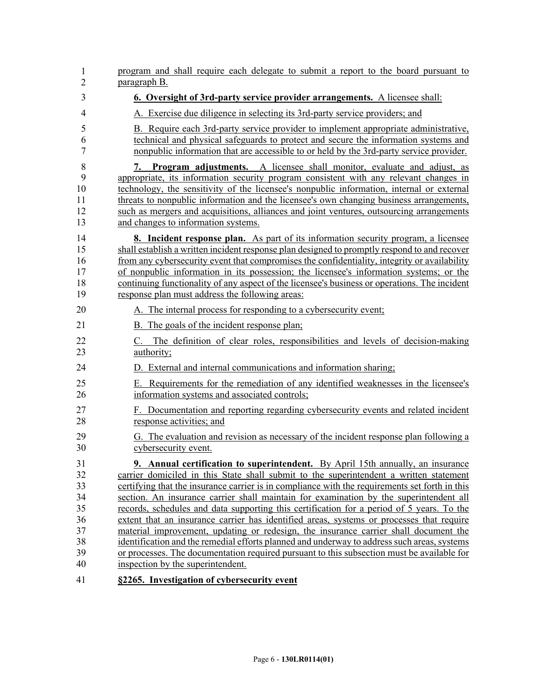| 1<br>$\overline{2}$                                      | program and shall require each delegate to submit a report to the board pursuant to<br>paragraph B.                                                                                                                                                                                                                                                                                                                                                                                                                                                                                                                                                                                                                                                                                                                                                                                             |
|----------------------------------------------------------|-------------------------------------------------------------------------------------------------------------------------------------------------------------------------------------------------------------------------------------------------------------------------------------------------------------------------------------------------------------------------------------------------------------------------------------------------------------------------------------------------------------------------------------------------------------------------------------------------------------------------------------------------------------------------------------------------------------------------------------------------------------------------------------------------------------------------------------------------------------------------------------------------|
| 3                                                        | <b>6. Oversight of 3rd-party service provider arrangements.</b> A licensee shall:                                                                                                                                                                                                                                                                                                                                                                                                                                                                                                                                                                                                                                                                                                                                                                                                               |
| $\overline{4}$                                           | A. Exercise due diligence in selecting its 3rd-party service providers; and                                                                                                                                                                                                                                                                                                                                                                                                                                                                                                                                                                                                                                                                                                                                                                                                                     |
| 5<br>6<br>7                                              | B. Require each 3rd-party service provider to implement appropriate administrative,<br>technical and physical safeguards to protect and secure the information systems and<br>nonpublic information that are accessible to or held by the 3rd-party service provider.                                                                                                                                                                                                                                                                                                                                                                                                                                                                                                                                                                                                                           |
| 8<br>9<br>10<br>11<br>12<br>13                           | <b>Program adjustments.</b> A licensee shall monitor, evaluate and adjust, as<br>7.<br>appropriate, its information security program consistent with any relevant changes in<br>technology, the sensitivity of the licensee's nonpublic information, internal or external<br>threats to nonpublic information and the licensee's own changing business arrangements,<br>such as mergers and acquisitions, alliances and joint ventures, outsourcing arrangements<br>and changes to information systems.                                                                                                                                                                                                                                                                                                                                                                                         |
| 14<br>15<br>16<br>17<br>18<br>19                         | <b>8.</b> Incident response plan. As part of its information security program, a licensee<br>shall establish a written incident response plan designed to promptly respond to and recover<br>from any cybersecurity event that compromises the confidentiality, integrity or availability<br>of nonpublic information in its possession; the licensee's information systems; or the<br>continuing functionality of any aspect of the licensee's business or operations. The incident<br>response plan must address the following areas:                                                                                                                                                                                                                                                                                                                                                         |
| 20                                                       | A. The internal process for responding to a cybersecurity event;                                                                                                                                                                                                                                                                                                                                                                                                                                                                                                                                                                                                                                                                                                                                                                                                                                |
| 21                                                       | B. The goals of the incident response plan;                                                                                                                                                                                                                                                                                                                                                                                                                                                                                                                                                                                                                                                                                                                                                                                                                                                     |
| 22<br>23                                                 | The definition of clear roles, responsibilities and levels of decision-making<br>$C_{\cdot}$<br>authority;                                                                                                                                                                                                                                                                                                                                                                                                                                                                                                                                                                                                                                                                                                                                                                                      |
| 24                                                       | D. External and internal communications and information sharing;                                                                                                                                                                                                                                                                                                                                                                                                                                                                                                                                                                                                                                                                                                                                                                                                                                |
| 25<br>26                                                 | E. Requirements for the remediation of any identified weaknesses in the licensee's<br>information systems and associated controls;                                                                                                                                                                                                                                                                                                                                                                                                                                                                                                                                                                                                                                                                                                                                                              |
| 27<br>28                                                 | F. Documentation and reporting regarding cybersecurity events and related incident<br>response activities; and                                                                                                                                                                                                                                                                                                                                                                                                                                                                                                                                                                                                                                                                                                                                                                                  |
| 29<br>30                                                 | G. The evaluation and revision as necessary of the incident response plan following a<br>cybersecurity event.                                                                                                                                                                                                                                                                                                                                                                                                                                                                                                                                                                                                                                                                                                                                                                                   |
| 31<br>32<br>33<br>34<br>35<br>36<br>37<br>38<br>39<br>40 | <b>9. Annual certification to superintendent.</b> By April 15th annually, an insurance<br>carrier domiciled in this State shall submit to the superintendent a written statement<br>certifying that the insurance carrier is in compliance with the requirements set forth in this<br>section. An insurance carrier shall maintain for examination by the superintendent all<br>records, schedules and data supporting this certification for a period of 5 years. To the<br>extent that an insurance carrier has identified areas, systems or processes that require<br>material improvement, updating or redesign, the insurance carrier shall document the<br>identification and the remedial efforts planned and underway to address such areas, systems<br>or processes. The documentation required pursuant to this subsection must be available for<br>inspection by the superintendent. |
| $\Lambda$ 1                                              | 82265 Investigation of exhangements event                                                                                                                                                                                                                                                                                                                                                                                                                                                                                                                                                                                                                                                                                                                                                                                                                                                       |

41 **§2265. Investigation of cybersecurity event**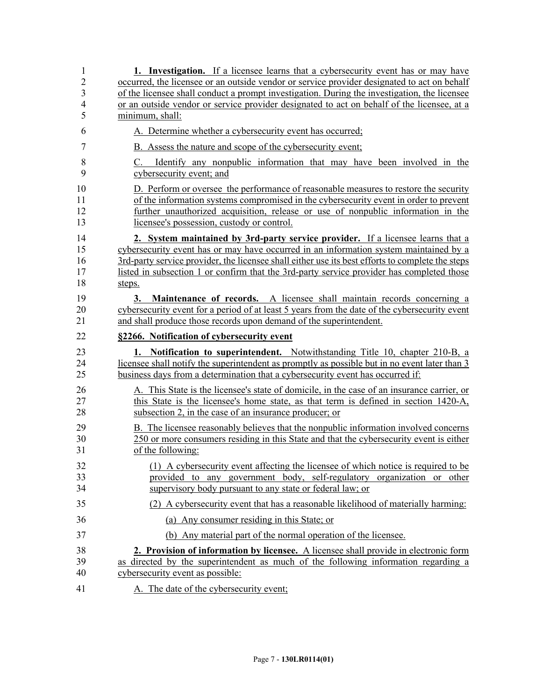| 1<br>$\overline{2}$<br>3<br>4<br>5 | <b>1.</b> Investigation. If a licensee learns that a cybersecurity event has or may have<br>occurred, the licensee or an outside vendor or service provider designated to act on behalf<br>of the licensee shall conduct a prompt investigation. During the investigation, the licensee<br>or an outside vendor or service provider designated to act on behalf of the licensee, at a<br>minimum, shall: |
|------------------------------------|----------------------------------------------------------------------------------------------------------------------------------------------------------------------------------------------------------------------------------------------------------------------------------------------------------------------------------------------------------------------------------------------------------|
| 6                                  | A. Determine whether a cybersecurity event has occurred;                                                                                                                                                                                                                                                                                                                                                 |
| 7                                  | B. Assess the nature and scope of the cybersecurity event;                                                                                                                                                                                                                                                                                                                                               |
| 8<br>9                             | Identify any nonpublic information that may have been involved in the<br>C.<br>cybersecurity event; and                                                                                                                                                                                                                                                                                                  |
| 10<br>11<br>12<br>13               | D. Perform or oversee the performance of reasonable measures to restore the security<br>of the information systems compromised in the cybersecurity event in order to prevent<br>further unauthorized acquisition, release or use of nonpublic information in the<br>licensee's possession, custody or control.                                                                                          |
| 14<br>15<br>16<br>17<br>18         | 2. System maintained by 3rd-party service provider. If a licensee learns that a<br>cybersecurity event has or may have occurred in an information system maintained by a<br>3rd-party service provider, the licensee shall either use its best efforts to complete the steps<br>listed in subsection 1 or confirm that the 3rd-party service provider has completed those<br>steps.                      |
| 19<br>20<br>21                     | Maintenance of records. A licensee shall maintain records concerning a<br>3.<br>cybersecurity event for a period of at least 5 years from the date of the cybersecurity event<br>and shall produce those records upon demand of the superintendent.                                                                                                                                                      |
| 22                                 | §2266. Notification of cybersecurity event                                                                                                                                                                                                                                                                                                                                                               |
| 23<br>24<br>25                     | 1. Notification to superintendent. Notwithstanding Title 10, chapter 210-B, a<br>licensee shall notify the superintendent as promptly as possible but in no event later than 3<br>business days from a determination that a cybersecurity event has occurred if:                                                                                                                                         |
| 26<br>27<br>28                     | A. This State is the licensee's state of domicile, in the case of an insurance carrier, or                                                                                                                                                                                                                                                                                                               |
|                                    | this State is the licensee's home state, as that term is defined in section 1420-A,<br>subsection 2, in the case of an insurance producer; or                                                                                                                                                                                                                                                            |
| 29<br>30<br>31                     | B. The licensee reasonably believes that the nonpublic information involved concerns<br>250 or more consumers residing in this State and that the cybersecurity event is either<br>of the following:                                                                                                                                                                                                     |
| 32<br>33<br>34                     | (1) A cybersecurity event affecting the licensee of which notice is required to be<br>provided to any government body, self-regulatory organization or other<br>supervisory body pursuant to any state or federal law; or                                                                                                                                                                                |
| 35                                 | (2) A cybersecurity event that has a reasonable likelihood of materially harming:                                                                                                                                                                                                                                                                                                                        |
| 36                                 | (a) Any consumer residing in this State; or                                                                                                                                                                                                                                                                                                                                                              |
| 37                                 | (b) Any material part of the normal operation of the licensee.                                                                                                                                                                                                                                                                                                                                           |
| 38<br>39<br>40                     | 2. Provision of information by licensee. A licensee shall provide in electronic form<br>as directed by the superintendent as much of the following information regarding a<br>cybersecurity event as possible:                                                                                                                                                                                           |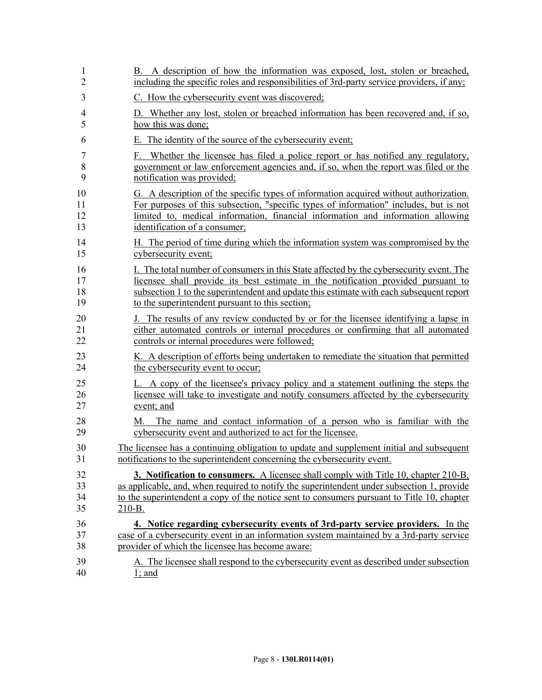| 1              | B. A description of how the information was exposed, lost, stolen or breached,                                                             |
|----------------|--------------------------------------------------------------------------------------------------------------------------------------------|
| $\overline{2}$ | including the specific roles and responsibilities of 3rd-party service providers, if any;                                                  |
| 3              | C. How the cybersecurity event was discovered;                                                                                             |
| 4              | D. Whether any lost, stolen or breached information has been recovered and, if so,                                                         |
| 5              | how this was done;                                                                                                                         |
| 6              | E. The identity of the source of the cybersecurity event;                                                                                  |
| 7              | F. Whether the licensee has filed a police report or has notified any regulatory,                                                          |
| 8              | government or law enforcement agencies and, if so, when the report was filed or the                                                        |
| 9              | notification was provided;                                                                                                                 |
| 10             | G. A description of the specific types of information acquired without authorization.                                                      |
| 11             | For purposes of this subsection, "specific types of information" includes, but is not                                                      |
| 12             | limited to, medical information, financial information and information allowing                                                            |
| 13             | identification of a consumer;                                                                                                              |
| 14             | H. The period of time during which the information system was compromised by the                                                           |
| 15             | cybersecurity event;                                                                                                                       |
| 16             | I. The total number of consumers in this State affected by the cybersecurity event. The                                                    |
| 17             | licensee shall provide its best estimate in the notification provided pursuant to                                                          |
| 18             | subsection 1 to the superintendent and update this estimate with each subsequent report                                                    |
| 19             | to the superintendent pursuant to this section;                                                                                            |
| 20             | J. The results of any review conducted by or for the licensee identifying a lapse in                                                       |
| 21             | either automated controls or internal procedures or confirming that all automated                                                          |
| 22             | controls or internal procedures were followed;                                                                                             |
| 23             | K. A description of efforts being undertaken to remediate the situation that permitted                                                     |
| 24             | the cybersecurity event to occur;                                                                                                          |
| 25             | L. A copy of the licensee's privacy policy and a statement outlining the steps the                                                         |
| 26             | licensee will take to investigate and notify consumers affected by the cybersecurity                                                       |
| 27             | event; and                                                                                                                                 |
| 28<br>29       | The name and contact information of a person who is familiar with the<br>M.<br>cybersecurity event and authorized to act for the licensee. |
| 30             | The licensee has a continuing obligation to update and supplement initial and subsequent                                                   |
| 31             | notifications to the superintendent concerning the cybersecurity event.                                                                    |
| 32             | <b>3. Notification to consumers.</b> A licensee shall comply with Title 10, chapter 210-B,                                                 |
| 33             | as applicable, and, when required to notify the superintendent under subsection 1, provide                                                 |
| 34             | to the superintendent a copy of the notice sent to consumers pursuant to Title 10, chapter                                                 |
| 35             | 210-B.                                                                                                                                     |
| 36             | 4. Notice regarding cybersecurity events of 3rd-party service providers. In the                                                            |
| 37             | case of a cybersecurity event in an information system maintained by a 3rd-party service                                                   |
| 38             | provider of which the licensee has become aware:                                                                                           |
| 39             | A. The licensee shall respond to the cybersecurity event as described under subsection                                                     |
| 40             | $1$ ; and                                                                                                                                  |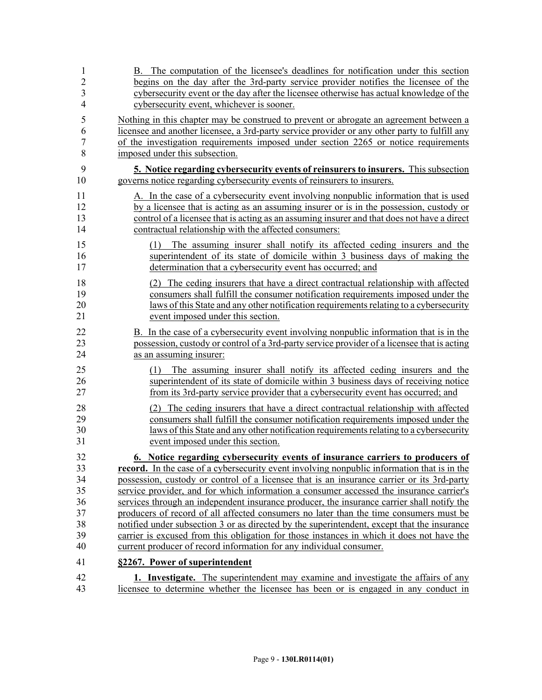| 1              | B. The computation of the licensee's deadlines for notification under this section                                                                                                                                                                      |
|----------------|---------------------------------------------------------------------------------------------------------------------------------------------------------------------------------------------------------------------------------------------------------|
| $\overline{2}$ | begins on the day after the 3rd-party service provider notifies the licensee of the                                                                                                                                                                     |
| $\mathfrak{Z}$ | cybersecurity event or the day after the licensee otherwise has actual knowledge of the                                                                                                                                                                 |
| $\overline{4}$ | cybersecurity event, whichever is sooner.                                                                                                                                                                                                               |
| 5              | Nothing in this chapter may be construed to prevent or abrogate an agreement between a                                                                                                                                                                  |
| 6              | licensee and another licensee, a 3rd-party service provider or any other party to fulfill any                                                                                                                                                           |
| $\overline{7}$ | of the investigation requirements imposed under section 2265 or notice requirements                                                                                                                                                                     |
| 8              | imposed under this subsection.                                                                                                                                                                                                                          |
| 9              | 5. Notice regarding cybersecurity events of reinsurers to insurers. This subsection                                                                                                                                                                     |
| 10             | governs notice regarding cybersecurity events of reinsurers to insurers.                                                                                                                                                                                |
| 11             | A. In the case of a cybersecurity event involving nonpublic information that is used                                                                                                                                                                    |
| 12             | by a licensee that is acting as an assuming insurer or is in the possession, custody or                                                                                                                                                                 |
| 13             | control of a licensee that is acting as an assuming insurer and that does not have a direct                                                                                                                                                             |
| 14             | contractual relationship with the affected consumers:                                                                                                                                                                                                   |
| 15<br>16<br>17 | The assuming insurer shall notify its affected ceding insurers and the<br>(1)<br>superintendent of its state of domicile within 3 business days of making the<br>determination that a cybersecurity event has occurred; and                             |
| 18             | (2) The ceding insurers that have a direct contractual relationship with affected                                                                                                                                                                       |
| 19             | consumers shall fulfill the consumer notification requirements imposed under the                                                                                                                                                                        |
| 20             | laws of this State and any other notification requirements relating to a cybersecurity                                                                                                                                                                  |
| 21             | event imposed under this section.                                                                                                                                                                                                                       |
| 22             | B. In the case of a cybersecurity event involving nonpublic information that is in the                                                                                                                                                                  |
| 23             | possession, custody or control of a 3rd-party service provider of a licensee that is acting                                                                                                                                                             |
| 24             | as an assuming insurer:                                                                                                                                                                                                                                 |
| 25<br>26<br>27 | The assuming insurer shall notify its affected ceding insurers and the<br>(1)<br>superintendent of its state of domicile within 3 business days of receiving notice<br>from its 3rd-party service provider that a cybersecurity event has occurred; and |
| 28             | (2) The ceding insurers that have a direct contractual relationship with affected                                                                                                                                                                       |
| 29             | consumers shall fulfill the consumer notification requirements imposed under the                                                                                                                                                                        |
| 30             | laws of this State and any other notification requirements relating to a cybersecurity                                                                                                                                                                  |
| 31             | event imposed under this section.                                                                                                                                                                                                                       |
| 32             | 6. Notice regarding cybersecurity events of insurance carriers to producers of                                                                                                                                                                          |
| 33             | <b>record.</b> In the case of a cybersecurity event involving nonpublic information that is in the                                                                                                                                                      |
| 34             | possession, custody or control of a licensee that is an insurance carrier or its 3rd-party                                                                                                                                                              |
| 35             | service provider, and for which information a consumer accessed the insurance carrier's                                                                                                                                                                 |
| 36             | services through an independent insurance producer, the insurance carrier shall notify the                                                                                                                                                              |
| 37             | producers of record of all affected consumers no later than the time consumers must be                                                                                                                                                                  |
| 38             | notified under subsection 3 or as directed by the superintendent, except that the insurance                                                                                                                                                             |
| 39             | carrier is excused from this obligation for those instances in which it does not have the                                                                                                                                                               |
| 40             | current producer of record information for any individual consumer.                                                                                                                                                                                     |
| 41             | §2267. Power of superintendent                                                                                                                                                                                                                          |
| 42             | <b>1. Investigate.</b> The superintendent may examine and investigate the affairs of any                                                                                                                                                                |
| 43             | licensee to determine whether the licensee has been or is engaged in any conduct in                                                                                                                                                                     |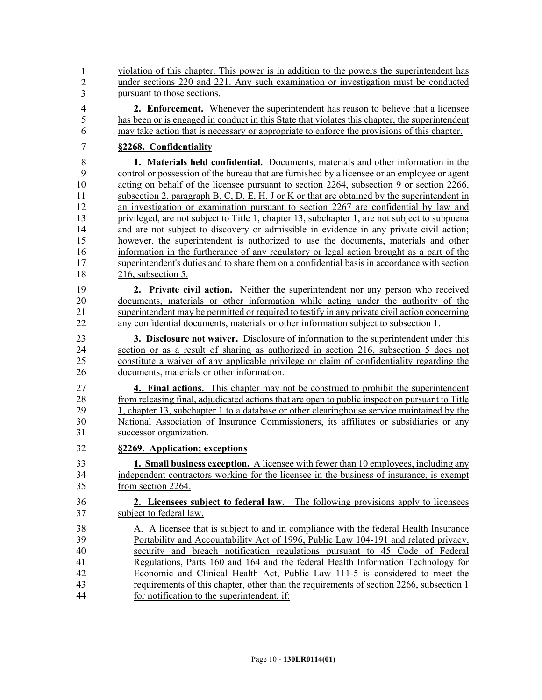44 violation of this chapter. This power is in addition to the powers the superintendent has 45 under sections 220 and 221. Any such examination or investigation must be conducted pursuant to those sections. 1 2 3

- 4 **2. Enforcement.** Whenever the superintendent has reason to believe that a licensee 5 has been or is engaged in conduct in this State that violates this chapter, the superintendent 6 may take action that is necessary or appropriate to enforce the provisions of this chapter.
- 7 **§2268. Confidentiality**

8 **1. Materials held confidential.** Documents, materials and other information in the 9 control or possession of the bureau that are furnished by a licensee or an employee or agent 10 acting on behalf of the licensee pursuant to section 2264, subsection 9 or section 2266, 11 subsection 2, paragraph B, C, D, E, H, J or K or that are obtained by the superintendent in 12 an investigation or examination pursuant to section 2267 are confidential by law and 13 privileged, are not subject to Title 1, chapter 13, subchapter 1, are not subject to subpoena 14 and are not subject to discovery or admissible in evidence in any private civil action; 15 however, the superintendent is authorized to use the documents, materials and other 16 information in the furtherance of any regulatory or legal action brought as a part of the 17 superintendent's duties and to share them on a confidential basis in accordance with section 18 216, subsection 5.

19 **2. Private civil action.** Neither the superintendent nor any person who received 20 documents, materials or other information while acting under the authority of the 21 superintendent may be permitted or required to testify in any private civil action concerning 22 any confidential documents, materials or other information subject to subsection 1.

23 **3. Disclosure not waiver.** Disclosure of information to the superintendent under this 24 section or as a result of sharing as authorized in section 216, subsection 5 does not 25 constitute a waiver of any applicable privilege or claim of confidentiality regarding the 26 documents, materials or other information.

27 **4. Final actions.** This chapter may not be construed to prohibit the superintendent 28 from releasing final, adjudicated actions that are open to public inspection pursuant to Title 29 1, chapter 13, subchapter 1 to a database or other clearinghouse service maintained by the 30 National Association of Insurance Commissioners, its affiliates or subsidiaries or any 31 successor organization.

32 **§2269. Application; exceptions**

33 **1. Small business exception.** A licensee with fewer than 10 employees, including any 34 independent contractors working for the licensee in the business of insurance, is exempt 35 from section 2264.

## 36 **2. Licensees subject to federal law.** The following provisions apply to licensees 37 subject to federal law.

38 A. A licensee that is subject to and in compliance with the federal Health Insurance 39 Portability and Accountability Act of 1996, Public Law 104-191 and related privacy, 40 security and breach notification regulations pursuant to 45 Code of Federal 41 Regulations, Parts 160 and 164 and the federal Health Information Technology for 42 Economic and Clinical Health Act, Public Law 111-5 is considered to meet the 43 requirements of this chapter, other than the requirements of section 2266, subsection 1 44 for notification to the superintendent, if: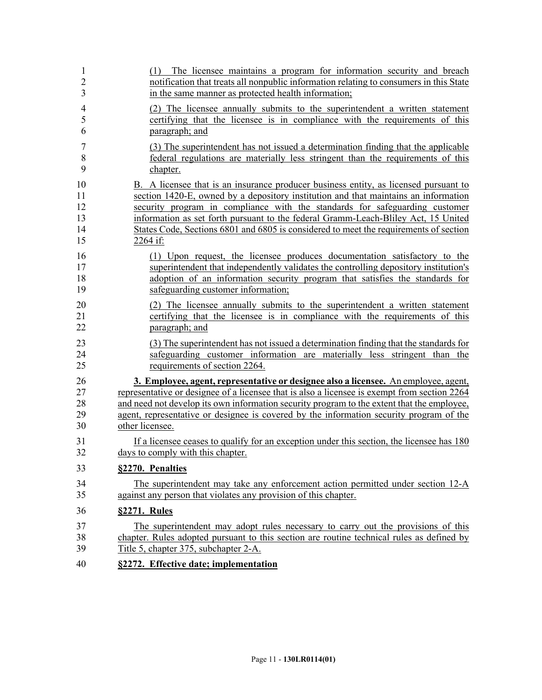| 1                        | (1) The licensee maintains a program for information security and breach                     |
|--------------------------|----------------------------------------------------------------------------------------------|
| $\overline{2}$           | notification that treats all nonpublic information relating to consumers in this State       |
| 3                        | in the same manner as protected health information;                                          |
| $\overline{\mathcal{L}}$ | (2) The licensee annually submits to the superintendent a written statement                  |
| 5                        | certifying that the licensee is in compliance with the requirements of this                  |
| 6                        | paragraph; and                                                                               |
| $\overline{7}$           | (3) The superintendent has not issued a determination finding that the applicable            |
| 8                        | federal regulations are materially less stringent than the requirements of this              |
| 9                        | chapter.                                                                                     |
| 10                       | B. A licensee that is an insurance producer business entity, as licensed pursuant to         |
| 11                       | section 1420-E, owned by a depository institution and that maintains an information          |
| 12                       | security program in compliance with the standards for safeguarding customer                  |
| 13                       | information as set forth pursuant to the federal Gramm-Leach-Bliley Act, 15 United           |
| 14                       | States Code, Sections 6801 and 6805 is considered to meet the requirements of section        |
| 15                       | 2264 if:                                                                                     |
| 16                       | (1) Upon request, the licensee produces documentation satisfactory to the                    |
| 17                       | superintendent that independently validates the controlling depository institution's         |
| 18                       | adoption of an information security program that satisfies the standards for                 |
| 19                       | safeguarding customer information;                                                           |
| 20                       | (2) The licensee annually submits to the superintendent a written statement                  |
| 21                       | certifying that the licensee is in compliance with the requirements of this                  |
| 22                       | paragraph; and                                                                               |
| 23                       | (3) The superintendent has not issued a determination finding that the standards for         |
| 24                       | safeguarding customer information are materially less stringent than the                     |
| 25                       | requirements of section 2264.                                                                |
| 26                       | 3. Employee, agent, representative or designee also a licensee. An employee, agent,          |
| 27                       | representative or designee of a licensee that is also a licensee is exempt from section 2264 |
| 28                       | and need not develop its own information security program to the extent that the employee,   |
| 29                       | agent, representative or designee is covered by the information security program of the      |
| 30                       | other licensee.                                                                              |
| 31                       | If a licensee ceases to qualify for an exception under this section, the licensee has 180    |
| 32                       | days to comply with this chapter.                                                            |
| 33                       | §2270. Penalties                                                                             |
| 34                       | The superintendent may take any enforcement action permitted under section 12-A              |
| 35                       | against any person that violates any provision of this chapter.                              |
| 36                       | §2271. Rules                                                                                 |
| 37                       | The superintendent may adopt rules necessary to carry out the provisions of this             |
| 38                       | chapter. Rules adopted pursuant to this section are routine technical rules as defined by    |
| 39                       | Title 5, chapter 375, subchapter 2-A.                                                        |
| 40                       | §2272. Effective date; implementation                                                        |